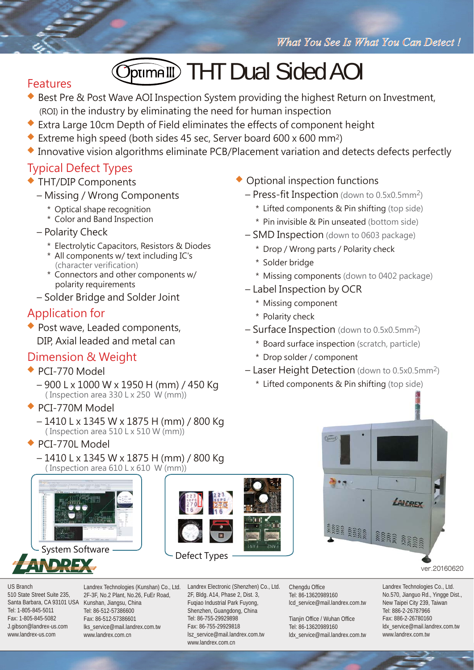# **Journalli** THT Dual Sided AOI

#### Features

- ◆ Best Pre & Post Wave AOI Inspection System providing the highest Return on Investment, (ROI) in the industry by eliminating the need for human inspection
- ◆ Extra Large 10cm Depth of Field eliminates the effects of component height
- ◆ Extreme high speed (both sides 45 sec, Server board 600 x 600 mm<sup>2</sup>)
- **◆** Innovative vision algorithms eliminate PCB/Placement variation and detects defects perfectly

#### Typical Defect Types

- **◆** THT/DIP Components
	- Missing / Wrong Components
		- \* Optical shape recognition
		- \* Color and Band Inspection
	- Polarity Check
		- \* Electrolytic Capacitors, Resistors & Diodes
		- \* All components w/ text including IC's (character verification)
		- \* Connectors and other components w/ polarity requirements
	- Solder Bridge and Solder Joint

## Application for

**◆** Post wave, Leaded components, DIP, Axial leaded and metal can

## Dimension & Weight

- **◆** PCI-770 Model
	- 900 L x 1000 W x 1950 H (mm) / 450 Kg ( Inspection area 330 L x 250 W (mm))
- **◆** PCI-770M Model
	- 1410 L x 1345 W x 1875 H (mm) / 800 Kg ( Inspection area 510 L x 510 W (mm))
- **◆** PCI-770L Model
	- 1410 L x 1345 W x 1875 H (mm) / 800 Kg ( Inspection area 610 L x 610 W (mm))

Landrex Technologies (Kunshan) Co., Ltd.



System Software



Defect Types

www.landrex.com.cn

Landrex Electronic (Shenzhen) Co., Ltd. 2F, Bldg. A14, Phase 2, Dist. 3, Fuqiao Industrial Park Fuyong, Shenzhen, Guangdong, China Tel: 86-755-29929898 Fax: 86-755-29929818 Chengdu Office Tel: 86-13620989160

lcd\_service@mail.landrex.com.tw

ana ana

Tianjin Office / Wuhan Office Tel: 86-13620989160 ldx\_service@mail.landrex.com.tw **ARA A ARA** 

LANDRY

ver.20160620

Landrex Technologies Co., Ltd. No.570, Jianguo Rd., Yingge Dist., New Taipei City 239, Taiwan Tel: 886-2-26787966 Fax: 886-2-26780160 ldx\_service@mail.landrex.com.tw www.landrex.com.tw

- **◆** Optional inspection functions
	- Press-fit Inspection (down to 0.5x0.5mm2)
		- \* Lifted components & Pin shifting (top side)
		- \* Pin invisible & Pin unseated (bottom side)
	- SMD Inspection (down to 0603 package)
		- \* Drop / Wrong parts / Polarity check
		- \* Solder bridge
		- \* Missing components (down to 0402 package)
	- Label Inspection by OCR
		- \* Missing component
		- \* Polarity check
	- Surface Inspection (down to 0.5x0.5mm2)
		- \* Board surface inspection (scratch, particle)
		- \* Drop solder / component
	- Laser Height Detection (down to 0.5x0.5mm2)
		- \* Lifted components & Pin shifting (top side)

lsz\_service@mail.landrex.com.tw

Santa Barbara, CA 93101 USA Kunshan, Jiangsu, China Tel: 1-805-845-5011 Fax: 1-805-845-5082 J.gibson@landrex-us.com www.landrex-us.com 2F-3F, No.2 Plant, No.26, FuEr Road, Tel: 86-512-57386600 Fax: 86-512-57386601 lks\_service@mail.landrex.com.tw www.landrex.com.cn

#### US Branch 510 State Street Suite 235,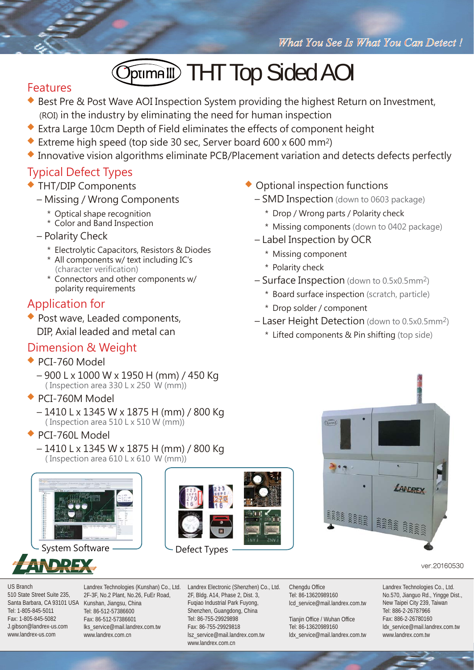# **THT Top Sided AOI**

#### Features

- ◆ Best Pre & Post Wave AOI Inspection System providing the highest Return on Investment, (ROI) in the industry by eliminating the need for human inspection
- **◆** Extra Large 10cm Depth of Field eliminates the effects of component height
- **◆** Extreme high speed (top side 30 sec, Server board 600 x 600 mm2)
- **◆** Innovative vision algorithms eliminate PCB/Placement variation and detects defects perfectly

### Typical Defect Types

- **◆** THT/DIP Components
	- Missing / Wrong Components
		- \* Optical shape recognition
		- \* Color and Band Inspection
	- Polarity Check
		- \* Electrolytic Capacitors, Resistors & Diodes
		- \* All components w/ text including IC's (character verification)
		- \* Connectors and other components w/ polarity requirements

#### Application for

**◆** Post wave, Leaded components, DIP, Axial leaded and metal can

#### Dimension & Weight

- **◆** PCI-760 Model
	- 900 L x 1000 W x 1950 H (mm) / 450 Kg ( Inspection area 330 L x 250 W (mm))
- **◆** PCI-760M Model
	- 1410 L x 1345 W x 1875 H (mm) / 800 Kg ( Inspection area 510 L x 510 W (mm))
- **◆** PCI-760L Model
	- 1410 L x 1345 W x 1875 H (mm) / 800 Kg ( Inspection area 610 L x 610 W (mm))



System Software









#### ver.20160530

US Branch 510 State Street Suite 235, Santa Barbara, CA 93101 USA Kunshan, Jiangsu, China Tel: 1-805-845-5011 Fax: 1-805-845-5082 J.gibson@landrex-us.com www.landrex-us.com

Landrex Technologies (Kunshan) Co., Ltd. 2F-3F, No.2 Plant, No.26, FuEr Road, Tel: 86-512-57386600 Fax: 86-512-57386601 lks\_service@mail.landrex.com.tw www.landrex.com.cn

Landrex Electronic (Shenzhen) Co., Ltd. 2F, Bldg. A14, Phase 2, Dist. 3, Fuqiao Industrial Park Fuyong, Shenzhen, Guangdong, China Tel: 86-755-29929898 Fax: 86-755-29929818 lsz\_service@mail.landrex.com.tw www.landrex.com.cn

Chengdu Office Tel: 86-13620989160 lcd\_service@mail.landrex.com.tw

Tianiin Office / Wuhan Office Tel: 86-13620989160 ldx\_service@mail.landrex.com.tw Landrex Technologies Co., Ltd. No.570, Jianguo Rd., Yingge Dist., New Taipei City 239, Taiwan Tel: 886-2-26787966 Fax: 886-2-26780160 ldx\_service@mail.landrex.com.tw www.landrex.com.tw

- ◆ Optional inspection functions
	- SMD Inspection (down to 0603 package)
		- \* Drop / Wrong parts / Polarity check
		- \* Missing components (down to 0402 package)
	- Label Inspection by OCR
		- \* Missing component
		- \* Polarity check
	- Surface Inspection (down to 0.5x0.5mm2)
		- \* Board surface inspection (scratch, particle)
		- \* Drop solder / component
	- Laser Height Detection (down to 0.5x0.5mm2)
		- \* Lifted components & Pin shifting (top side)